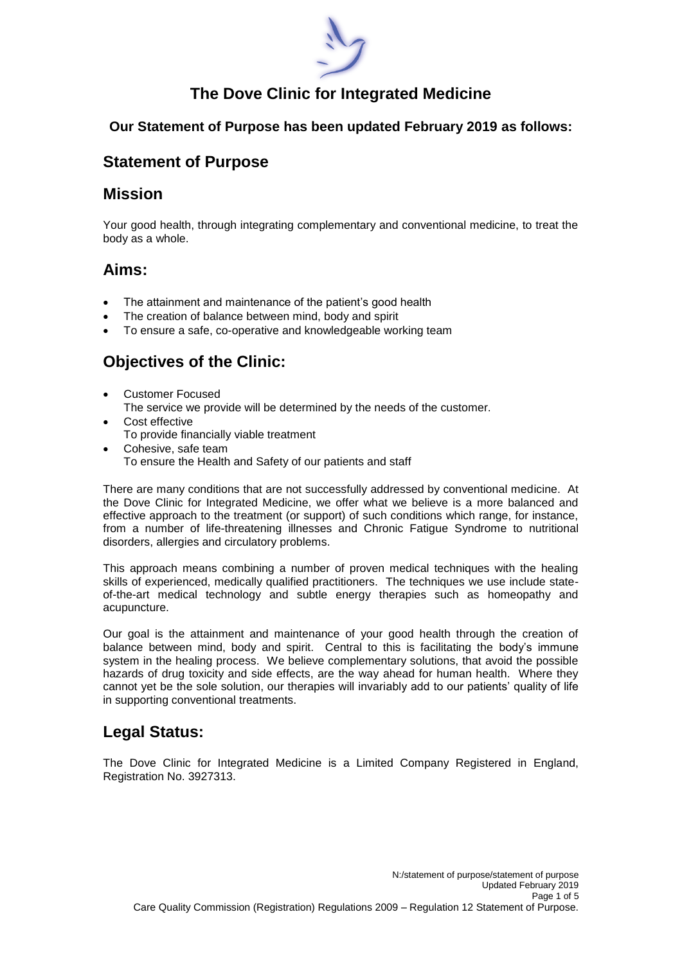

## **The Dove Clinic for Integrated Medicine**

### **Our Statement of Purpose has been updated February 2019 as follows:**

### **Statement of Purpose**

### **Mission**

Your good health, through integrating complementary and conventional medicine, to treat the body as a whole.

## **Aims:**

- The attainment and maintenance of the patient's good health
- The creation of balance between mind, body and spirit
- To ensure a safe, co-operative and knowledgeable working team

# **Objectives of the Clinic:**

- Customer Focused The service we provide will be determined by the needs of the customer.
- Cost effective To provide financially viable treatment
- Cohesive, safe team To ensure the Health and Safety of our patients and staff

There are many conditions that are not successfully addressed by conventional medicine. At the Dove Clinic for Integrated Medicine, we offer what we believe is a more balanced and effective approach to the treatment (or support) of such conditions which range, for instance, from a number of life-threatening illnesses and Chronic Fatigue Syndrome to nutritional disorders, allergies and circulatory problems.

This approach means combining a number of proven medical techniques with the healing skills of experienced, medically qualified practitioners. The techniques we use include stateof-the-art medical technology and subtle energy therapies such as homeopathy and acupuncture.

Our goal is the attainment and maintenance of your good health through the creation of balance between mind, body and spirit. Central to this is facilitating the body's immune system in the healing process. We believe complementary solutions, that avoid the possible hazards of drug toxicity and side effects, are the way ahead for human health. Where they cannot yet be the sole solution, our therapies will invariably add to our patients' quality of life in supporting conventional treatments.

## **Legal Status:**

The Dove Clinic for Integrated Medicine is a Limited Company Registered in England, Registration No. 3927313.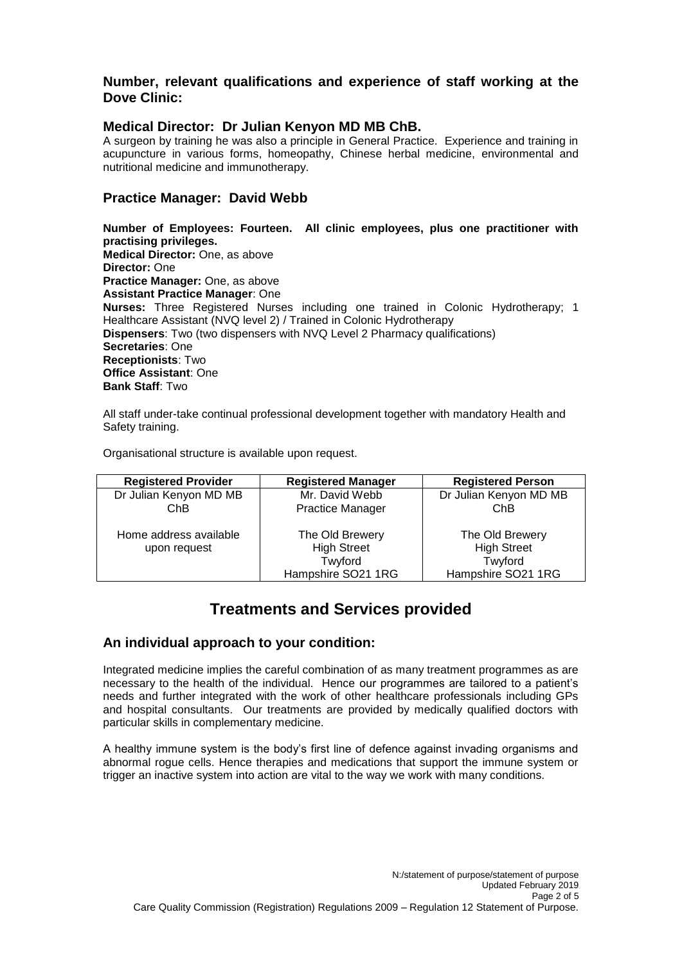#### **Number, relevant qualifications and experience of staff working at the Dove Clinic:**

#### **Medical Director: Dr Julian Kenyon MD MB ChB.**

A surgeon by training he was also a principle in General Practice. Experience and training in acupuncture in various forms, homeopathy, Chinese herbal medicine, environmental and nutritional medicine and immunotherapy.

#### **Practice Manager: David Webb**

**Number of Employees: Fourteen. All clinic employees, plus one practitioner with practising privileges. Medical Director:** One, as above **Director:** One **Practice Manager:** One, as above **Assistant Practice Manager**: One **Nurses:** Three Registered Nurses including one trained in Colonic Hydrotherapy; 1 Healthcare Assistant (NVQ level 2) / Trained in Colonic Hydrotherapy **Dispensers**: Two (two dispensers with NVQ Level 2 Pharmacy qualifications) **Secretaries**: One **Receptionists**: Two **Office Assistant**: One **Bank Staff**: Two

All staff under-take continual professional development together with mandatory Health and Safety training.

Organisational structure is available upon request.

| <b>Registered Provider</b> | <b>Registered Manager</b> | <b>Registered Person</b> |
|----------------------------|---------------------------|--------------------------|
| Dr Julian Kenyon MD MB     | Mr. David Webb            | Dr Julian Kenyon MD MB   |
| ChB                        | <b>Practice Manager</b>   | ChB                      |
| Home address available     | The Old Brewery           | The Old Brewery          |
| upon request               | <b>High Street</b>        | <b>High Street</b>       |
|                            | Twyford                   | Twyford                  |
|                            | Hampshire SO21 1RG        | Hampshire SO21 1RG       |

### **Treatments and Services provided**

#### **An individual approach to your condition:**

Integrated medicine implies the careful combination of as many treatment programmes as are necessary to the health of the individual. Hence our programmes are tailored to a patient's needs and further integrated with the work of other healthcare professionals including GPs and hospital consultants. Our treatments are provided by medically qualified doctors with particular skills in complementary medicine.

A healthy immune system is the body's first line of defence against invading organisms and abnormal rogue cells. Hence therapies and medications that support the immune system or trigger an inactive system into action are vital to the way we work with many conditions.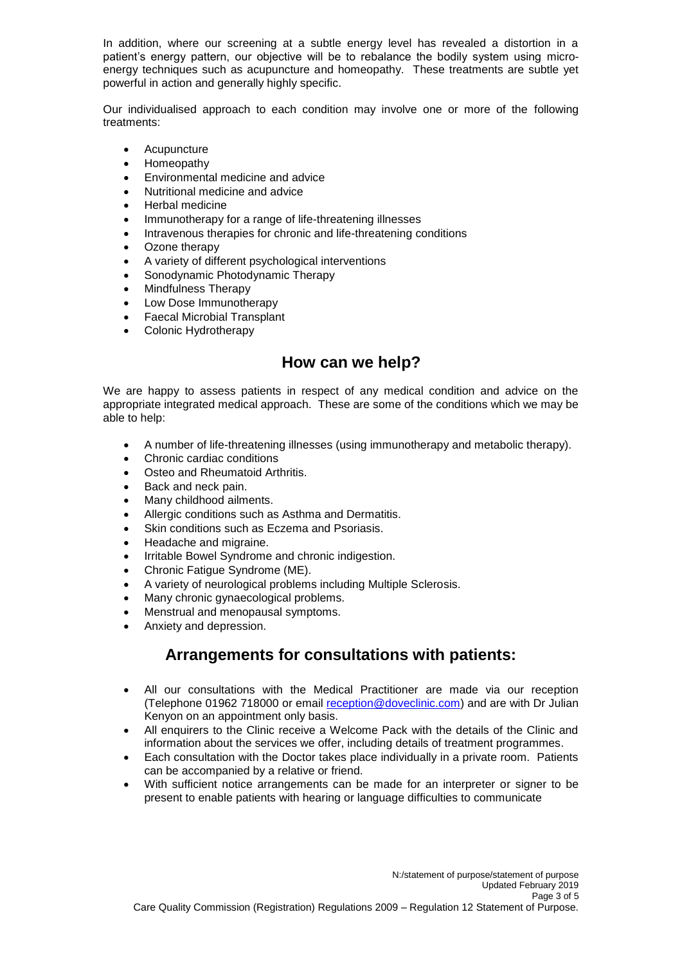In addition, where our screening at a subtle energy level has revealed a distortion in a patient's energy pattern, our objective will be to rebalance the bodily system using microenergy techniques such as acupuncture and homeopathy. These treatments are subtle yet powerful in action and generally highly specific.

Our individualised approach to each condition may involve one or more of the following treatments:

- **Acupuncture**
- Homeopathy
- Environmental medicine and advice
- Nutritional medicine and advice
- Herbal medicine
- Immunotherapy for a range of life-threatening illnesses
- Intravenous therapies for chronic and life-threatening conditions
- Ozone therapy
- A variety of different psychological interventions
- Sonodynamic Photodynamic Therapy
- Mindfulness Therapy
- Low Dose Immunotherapy
- Faecal Microbial Transplant
- Colonic Hydrotherapy

### **How can we help?**

We are happy to assess patients in respect of any medical condition and advice on the appropriate integrated medical approach. These are some of the conditions which we may be able to help:

- A number of life-threatening illnesses (using immunotherapy and metabolic therapy).
- Chronic cardiac conditions
- Osteo and Rheumatoid Arthritis.
- Back and neck pain.
- Many childhood ailments.
- Allergic conditions such as Asthma and Dermatitis.
- Skin conditions such as Eczema and Psoriasis.
- Headache and migraine.
- Irritable Bowel Syndrome and chronic indigestion.
- Chronic Fatigue Syndrome (ME).
- A variety of neurological problems including Multiple Sclerosis.
- Many chronic gynaecological problems.
- Menstrual and menopausal symptoms.
- Anxiety and depression.

### **Arrangements for consultations with patients:**

- All our consultations with the Medical Practitioner are made via our reception (Telephone 01962 718000 or email [reception@doveclinic.com\)](mailto:reception@doveclinic.com) and are with Dr Julian Kenyon on an appointment only basis.
- All enquirers to the Clinic receive a Welcome Pack with the details of the Clinic and information about the services we offer, including details of treatment programmes.
- Each consultation with the Doctor takes place individually in a private room. Patients can be accompanied by a relative or friend.
- With sufficient notice arrangements can be made for an interpreter or signer to be present to enable patients with hearing or language difficulties to communicate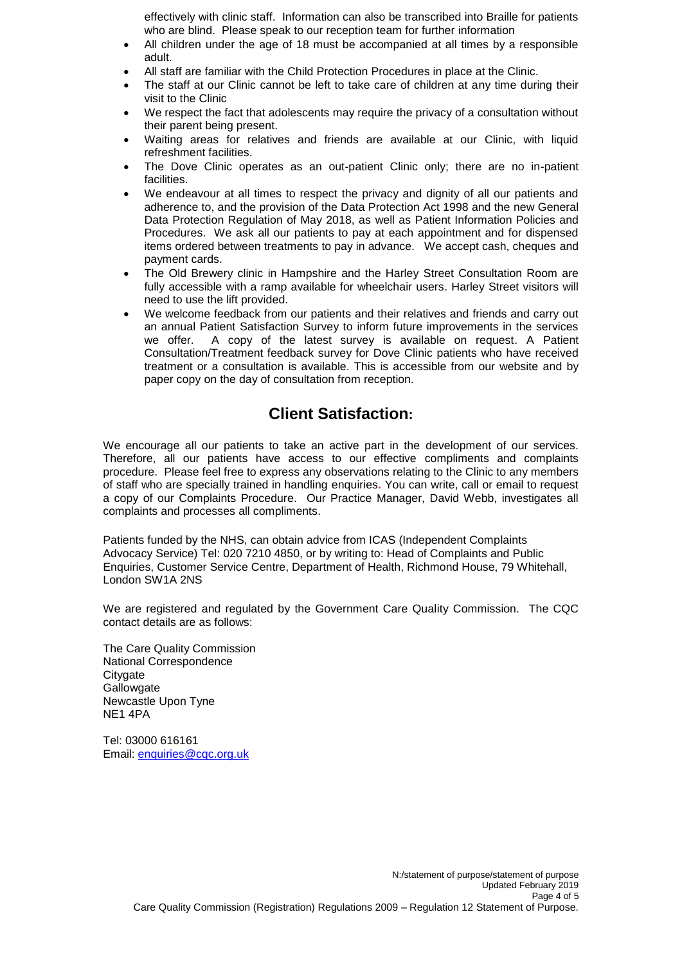effectively with clinic staff. Information can also be transcribed into Braille for patients who are blind. Please speak to our reception team for further information

- All children under the age of 18 must be accompanied at all times by a responsible adult.
- All staff are familiar with the Child Protection Procedures in place at the Clinic.
- The staff at our Clinic cannot be left to take care of children at any time during their visit to the Clinic
- We respect the fact that adolescents may require the privacy of a consultation without their parent being present.
- Waiting areas for relatives and friends are available at our Clinic, with liquid refreshment facilities.
- The Dove Clinic operates as an out-patient Clinic only; there are no in-patient facilities.
- We endeavour at all times to respect the privacy and dignity of all our patients and adherence to, and the provision of the Data Protection Act 1998 and the new General Data Protection Regulation of May 2018, as well as Patient Information Policies and Procedures. We ask all our patients to pay at each appointment and for dispensed items ordered between treatments to pay in advance. We accept cash, cheques and payment cards.
- The Old Brewery clinic in Hampshire and the Harley Street Consultation Room are fully accessible with a ramp available for wheelchair users. Harley Street visitors will need to use the lift provided.
- We welcome feedback from our patients and their relatives and friends and carry out an annual Patient Satisfaction Survey to inform future improvements in the services we offer. A copy of the latest survey is available on request. A Patient Consultation/Treatment feedback survey for Dove Clinic patients who have received treatment or a consultation is available. This is accessible from our website and by paper copy on the day of consultation from reception.

## **Client Satisfaction:**

We encourage all our patients to take an active part in the development of our services. Therefore, all our patients have access to our effective compliments and complaints procedure. Please feel free to express any observations relating to the Clinic to any members of staff who are specially trained in handling enquiries**.** You can write, call or email to request a copy of our Complaints Procedure. Our Practice Manager, David Webb, investigates all complaints and processes all compliments.

Patients funded by the NHS, can obtain advice from ICAS (Independent Complaints Advocacy Service) Tel: 020 7210 4850, or by writing to: Head of Complaints and Public Enquiries, Customer Service Centre, Department of Health, Richmond House, 79 Whitehall, London SW1A 2NS

We are registered and regulated by the Government Care Quality Commission. The CQC contact details are as follows:

The Care Quality Commission National Correspondence **Citygate Gallowgate** Newcastle Upon Tyne NE1 4PA

Tel: 03000 616161 Email: [enquiries@cqc.org.uk](mailto:enquiries@cqc.org.uk)